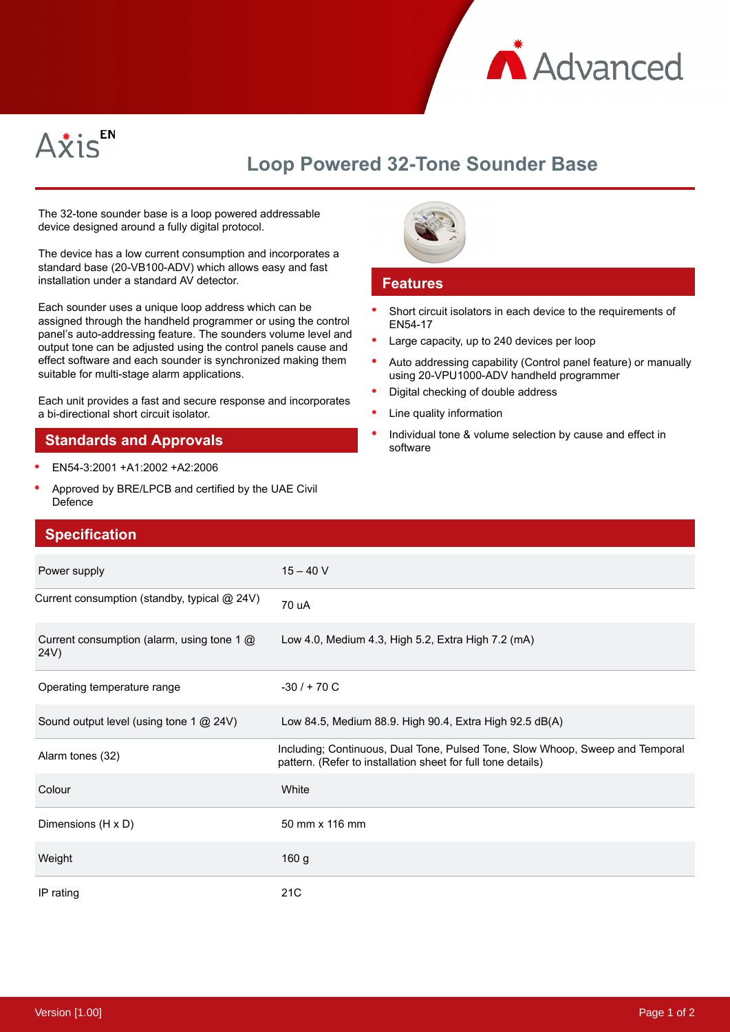



## **Loop Powered 32-Tone Sounder Base**

The 32-tone sounder base is a loop powered addressable device designed around a fully digital protocol.

The device has a low current consumption and incorporates a standard base (20-VB100-ADV) which allows easy and fast installation under a standard AV detector.

Each sounder uses a unique loop address which can be assigned through the handheld programmer or using the control panel's auto-addressing feature. The sounders volume level and output tone can be adjusted using the control panels cause and effect software and each sounder is synchronized making them suitable for multi-stage alarm applications.

Each unit provides a fast and secure response and incorporates a bi-directional short circuit isolator.

## **Standards and Approvals**

- EN54-3:2001 +A1:2002 +A2:2006
- $\bullet$ Approved by BRE/LPCB and certified by the UAE Civil Defence



## **Features**

- Short circuit isolators in each device to the requirements of EN54-17
- Large capacity, up to 240 devices per loop
- $\bullet$ Auto addressing capability (Control panel feature) or manually using 20-VPU1000-ADV handheld programmer
- Digital checking of double address
- Line quality information
- Individual tone & volume selection by cause and effect in software

| <b>Specification</b>                               |                                                                                                                                               |
|----------------------------------------------------|-----------------------------------------------------------------------------------------------------------------------------------------------|
| Power supply                                       | $15 - 40 V$                                                                                                                                   |
| Current consumption (standby, typical @ 24V)       | 70 uA                                                                                                                                         |
| Current consumption (alarm, using tone 1 @<br>24V) | Low 4.0, Medium 4.3, High 5.2, Extra High 7.2 (mA)                                                                                            |
| Operating temperature range                        | $-30/ + 70 C$                                                                                                                                 |
| Sound output level (using tone 1 @ 24V)            | Low 84.5, Medium 88.9. High 90.4, Extra High 92.5 dB(A)                                                                                       |
| Alarm tones (32)                                   | Including; Continuous, Dual Tone, Pulsed Tone, Slow Whoop, Sweep and Temporal<br>pattern. (Refer to installation sheet for full tone details) |
| Colour                                             | White                                                                                                                                         |
| Dimensions (H x D)                                 | 50 mm x 116 mm                                                                                                                                |
| Weight                                             | 160 g                                                                                                                                         |
| IP rating                                          | 21 <sub>C</sub>                                                                                                                               |